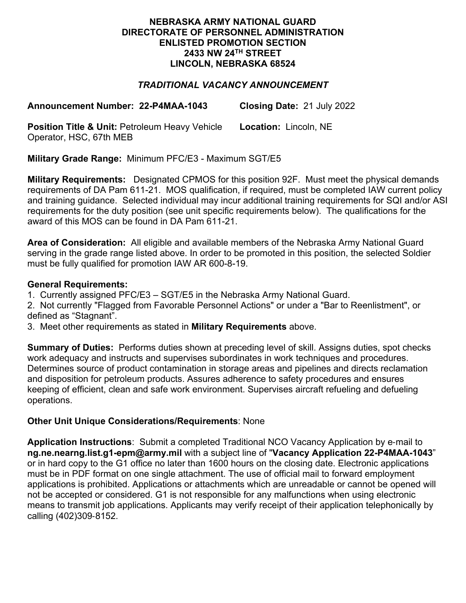### **NEBRASKA ARMY NATIONAL GUARD DIRECTORATE OF PERSONNEL ADMINISTRATION ENLISTED PROMOTION SECTION 2433 NW 24TH STREET LINCOLN, NEBRASKA 68524**

# *TRADITIONAL VACANCY ANNOUNCEMENT*

**Announcement Number: 22-P4MAA-1043 Closing Date:** 21 July 2022

**Position Title & Unit: Petroleum Heavy Vehicle** Operator, HSC, 67th MEB **Location:** Lincoln, NE

**Military Grade Range:** Minimum PFC/E3 - Maximum SGT/E5

**Military Requirements:** Designated CPMOS for this position 92F. Must meet the physical demands requirements of DA Pam 611-21. MOS qualification, if required, must be completed IAW current policy and training guidance. Selected individual may incur additional training requirements for SQI and/or ASI requirements for the duty position (see unit specific requirements below). The qualifications for the award of this MOS can be found in DA Pam 611-21.

**Area of Consideration:** All eligible and available members of the Nebraska Army National Guard serving in the grade range listed above. In order to be promoted in this position, the selected Soldier must be fully qualified for promotion IAW AR 600-8-19.

### **General Requirements:**

1. Currently assigned PFC/E3 – SGT/E5 in the Nebraska Army National Guard.

2. Not currently "Flagged from Favorable Personnel Actions" or under a "Bar to Reenlistment", or defined as "Stagnant".

3. Meet other requirements as stated in **Military Requirements** above.

**Summary of Duties:** Performs duties shown at preceding level of skill. Assigns duties, spot checks work adequacy and instructs and supervises subordinates in work techniques and procedures. Determines source of product contamination in storage areas and pipelines and directs reclamation and disposition for petroleum products. Assures adherence to safety procedures and ensures keeping of efficient, clean and safe work environment. Supervises aircraft refueling and defueling operations.

## **Other Unit Unique Considerations/Requirements**: None

**Application Instructions**: Submit a completed Traditional NCO Vacancy Application by e-mail to **ng.ne.nearng.list.g1-epm@army.mil** with a subject line of "**Vacancy Application 22-P4MAA-1043**" or in hard copy to the G1 office no later than 1600 hours on the closing date. Electronic applications must be in PDF format on one single attachment. The use of official mail to forward employment applications is prohibited. Applications or attachments which are unreadable or cannot be opened will not be accepted or considered. G1 is not responsible for any malfunctions when using electronic means to transmit job applications. Applicants may verify receipt of their application telephonically by calling (402)309-8152.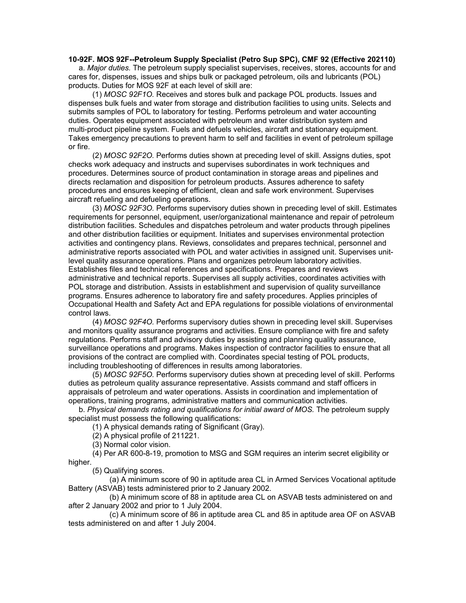#### **10-92F. MOS 92F--Petroleum Supply Specialist (Petro Sup SPC), CMF 92 (Effective 202110)**

 a. *Major duties.* The petroleum supply specialist supervises, receives, stores, accounts for and cares for, dispenses, issues and ships bulk or packaged petroleum, oils and lubricants (POL) products. Duties for MOS 92F at each level of skill are:

 (1) *MOSC 92F1O.* Receives and stores bulk and package POL products. Issues and dispenses bulk fuels and water from storage and distribution facilities to using units. Selects and submits samples of POL to laboratory for testing. Performs petroleum and water accounting duties. Operates equipment associated with petroleum and water distribution system and multi-product pipeline system. Fuels and defuels vehicles, aircraft and stationary equipment. Takes emergency precautions to prevent harm to self and facilities in event of petroleum spillage or fire.

 (2) *MOSC 92F2O.* Performs duties shown at preceding level of skill. Assigns duties, spot checks work adequacy and instructs and supervises subordinates in work techniques and procedures. Determines source of product contamination in storage areas and pipelines and directs reclamation and disposition for petroleum products. Assures adherence to safety procedures and ensures keeping of efficient, clean and safe work environment. Supervises aircraft refueling and defueling operations.

 (3) *MOSC 92F3O.* Performs supervisory duties shown in preceding level of skill. Estimates requirements for personnel, equipment, user/organizational maintenance and repair of petroleum distribution facilities. Schedules and dispatches petroleum and water products through pipelines and other distribution facilities or equipment. Initiates and supervises environmental protection activities and contingency plans. Reviews, consolidates and prepares technical, personnel and administrative reports associated with POL and water activities in assigned unit. Supervises unitlevel quality assurance operations. Plans and organizes petroleum laboratory activities. Establishes files and technical references and specifications. Prepares and reviews administrative and technical reports. Supervises all supply activities, coordinates activities with POL storage and distribution. Assists in establishment and supervision of quality surveillance programs. Ensures adherence to laboratory fire and safety procedures. Applies principles of Occupational Health and Safety Act and EPA regulations for possible violations of environmental control laws.

 (4) *MOSC 92F4O.* Performs supervisory duties shown in preceding level skill. Supervises and monitors quality assurance programs and activities. Ensure compliance with fire and safety regulations. Performs staff and advisory duties by assisting and planning quality assurance, surveillance operations and programs. Makes inspection of contractor facilities to ensure that all provisions of the contract are complied with. Coordinates special testing of POL products, including troubleshooting of differences in results among laboratories.

 (5) *MOSC 92F5O.* Performs supervisory duties shown at preceding level of skill. Performs duties as petroleum quality assurance representative. Assists command and staff officers in appraisals of petroleum and water operations. Assists in coordination and implementation of operations, training programs, administrative matters and communication activities.

 b. *Physical demands rating and qualifications for initial award of MOS.* The petroleum supply specialist must possess the following qualifications:

(1) A physical demands rating of Significant (Gray).

(2) A physical profile of 211221.

(3) Normal color vision.

 (4) Per AR 600-8-19, promotion to MSG and SGM requires an interim secret eligibility or higher.

(5) Qualifying scores.

 (a) A minimum score of 90 in aptitude area CL in Armed Services Vocational aptitude Battery (ASVAB) tests administered prior to 2 January 2002.

 (b) A minimum score of 88 in aptitude area CL on ASVAB tests administered on and after 2 January 2002 and prior to 1 July 2004.

 (c) A minimum score of 86 in aptitude area CL and 85 in aptitude area OF on ASVAB tests administered on and after 1 July 2004.